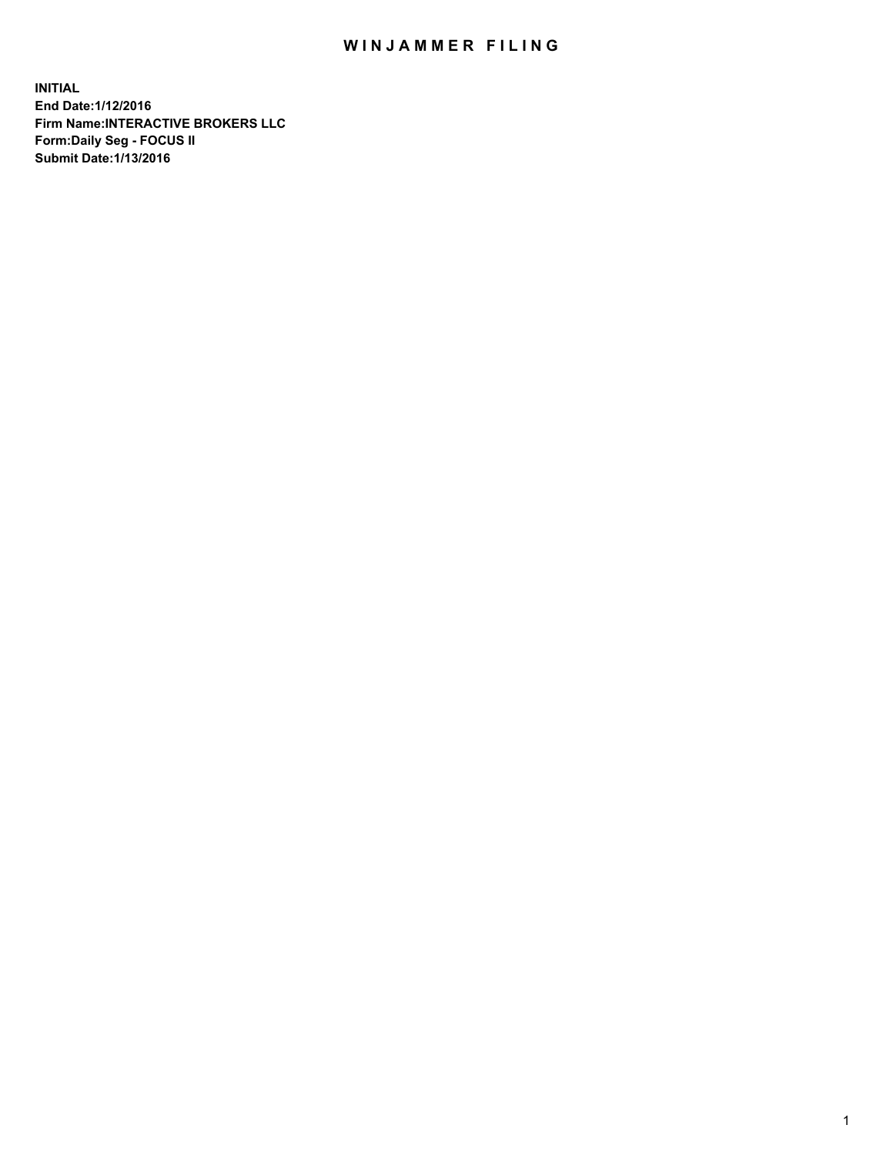## WIN JAMMER FILING

**INITIAL End Date:1/12/2016 Firm Name:INTERACTIVE BROKERS LLC Form:Daily Seg - FOCUS II Submit Date:1/13/2016**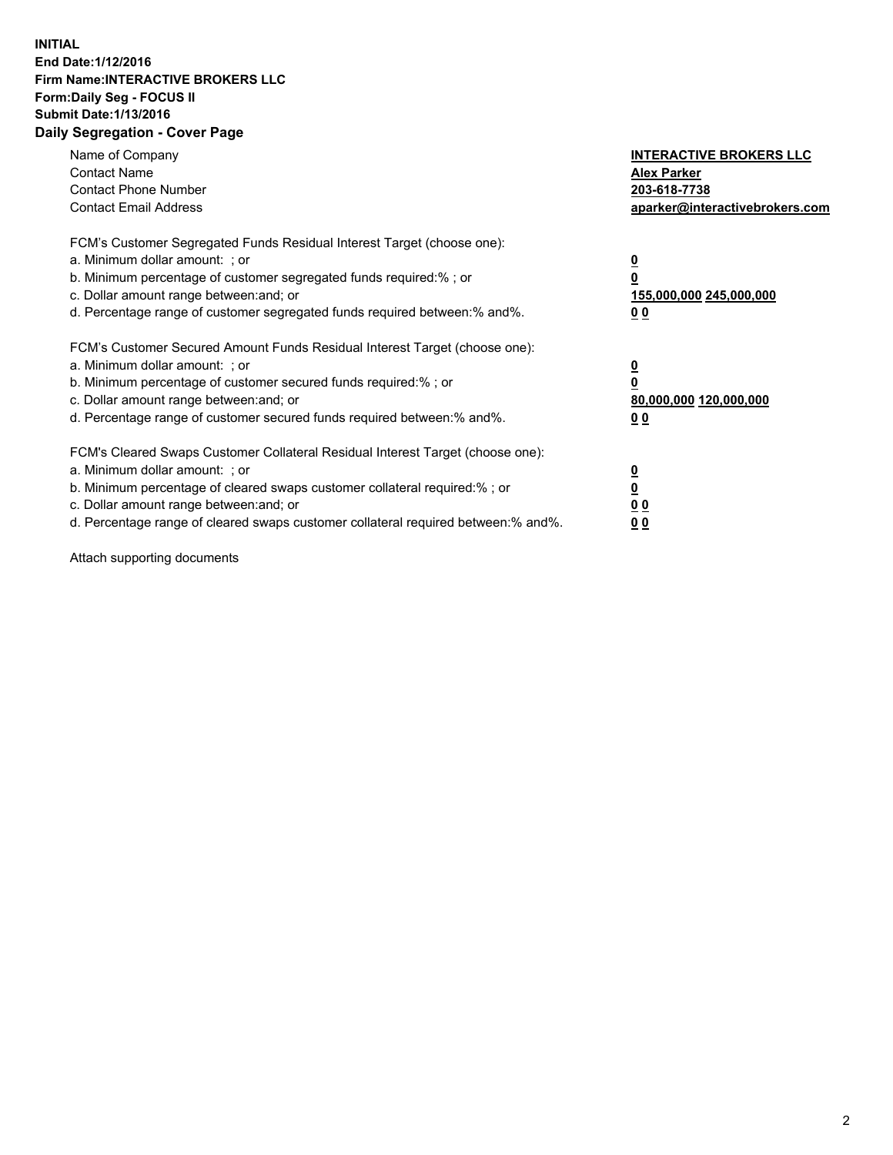## **INITIAL End Date:1/12/2016 Firm Name:INTERACTIVE BROKERS LLC Form:Daily Seg - FOCUS II Submit Date:1/13/2016 Daily Segregation - Cover Page**

| Name of Company<br><b>Contact Name</b><br><b>Contact Phone Number</b><br><b>Contact Email Address</b>                                                                                                                                                                                                                          | <b>INTERACTIVE BROKERS LLC</b><br><b>Alex Parker</b><br>203-618-7738<br>aparker@interactivebrokers.com |
|--------------------------------------------------------------------------------------------------------------------------------------------------------------------------------------------------------------------------------------------------------------------------------------------------------------------------------|--------------------------------------------------------------------------------------------------------|
| FCM's Customer Segregated Funds Residual Interest Target (choose one):<br>a. Minimum dollar amount: ; or<br>b. Minimum percentage of customer segregated funds required:% ; or<br>c. Dollar amount range between: and; or<br>d. Percentage range of customer segregated funds required between:% and%.                         | <u>0</u><br>155,000,000 245,000,000<br><u>00</u>                                                       |
| FCM's Customer Secured Amount Funds Residual Interest Target (choose one):<br>a. Minimum dollar amount: ; or<br>b. Minimum percentage of customer secured funds required:% ; or<br>c. Dollar amount range between: and; or<br>d. Percentage range of customer secured funds required between:% and%.                           | <u>0</u><br>80,000,000 120,000,000<br>0 <sub>0</sub>                                                   |
| FCM's Cleared Swaps Customer Collateral Residual Interest Target (choose one):<br>a. Minimum dollar amount: ; or<br>b. Minimum percentage of cleared swaps customer collateral required:% ; or<br>c. Dollar amount range between: and; or<br>d. Percentage range of cleared swaps customer collateral required between:% and%. | <u>0</u><br>0 <sub>0</sub><br>0 <sub>0</sub>                                                           |

Attach supporting documents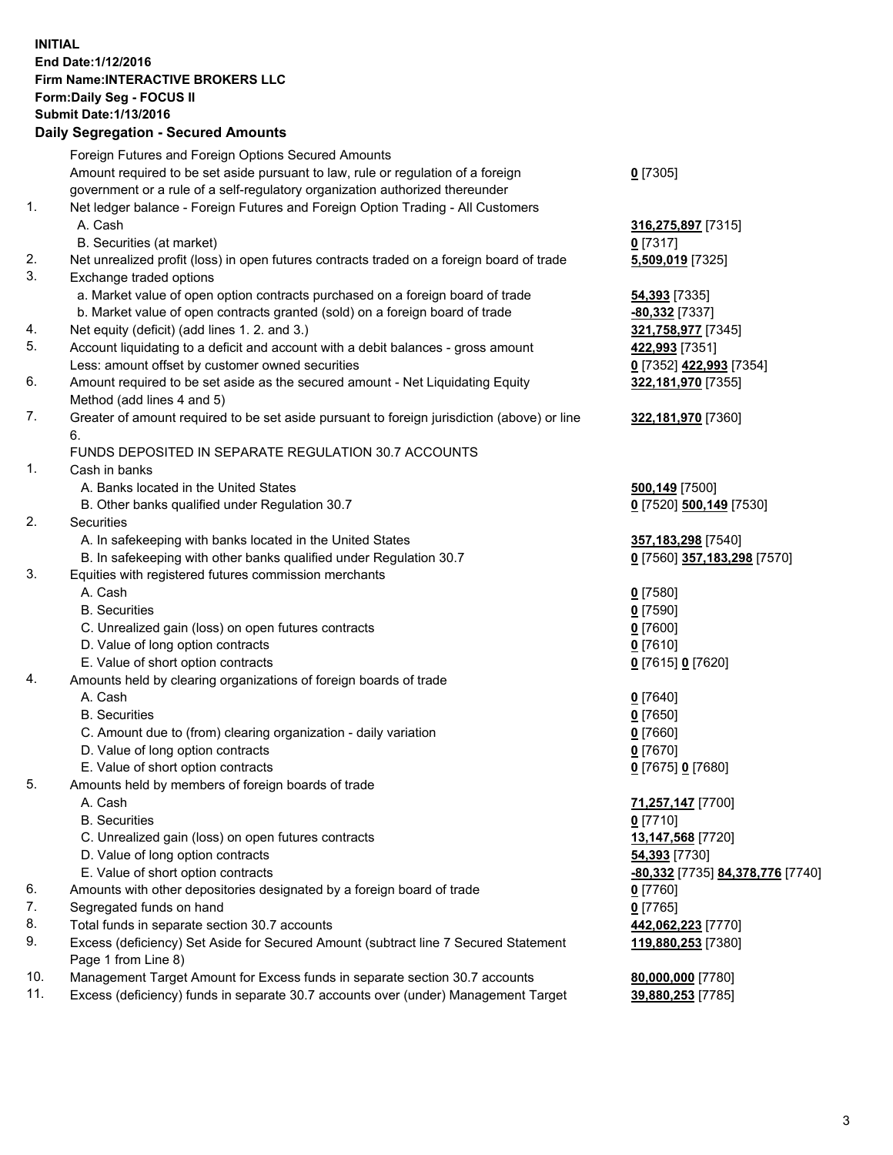## **INITIAL End Date:1/12/2016 Firm Name:INTERACTIVE BROKERS LLC Form:Daily Seg - FOCUS II Submit Date:1/13/2016 Daily Segregation - Secured Amounts**

|     | Daily Jegregation - Jeculed Aniounts                                                                       |                                  |
|-----|------------------------------------------------------------------------------------------------------------|----------------------------------|
|     | Foreign Futures and Foreign Options Secured Amounts                                                        |                                  |
|     | Amount required to be set aside pursuant to law, rule or regulation of a foreign                           | $0$ [7305]                       |
|     | government or a rule of a self-regulatory organization authorized thereunder                               |                                  |
| 1.  | Net ledger balance - Foreign Futures and Foreign Option Trading - All Customers                            |                                  |
|     | A. Cash                                                                                                    | 316,275,897 [7315]               |
|     | B. Securities (at market)                                                                                  | $0$ [7317]                       |
| 2.  | Net unrealized profit (loss) in open futures contracts traded on a foreign board of trade                  | 5,509,019 [7325]                 |
| 3.  | Exchange traded options                                                                                    |                                  |
|     | a. Market value of open option contracts purchased on a foreign board of trade                             | <b>54,393</b> [7335]             |
|     | b. Market value of open contracts granted (sold) on a foreign board of trade                               | -80,332 [7337]                   |
| 4.  | Net equity (deficit) (add lines 1.2. and 3.)                                                               | 321,758,977 [7345]               |
| 5.  | Account liquidating to a deficit and account with a debit balances - gross amount                          | 422,993 [7351]                   |
|     | Less: amount offset by customer owned securities                                                           | 0 [7352] 422,993 [7354]          |
| 6.  | Amount required to be set aside as the secured amount - Net Liquidating Equity                             | 322,181,970 [7355]               |
|     | Method (add lines 4 and 5)                                                                                 |                                  |
| 7.  | Greater of amount required to be set aside pursuant to foreign jurisdiction (above) or line                | 322,181,970 [7360]               |
|     | 6.                                                                                                         |                                  |
|     | FUNDS DEPOSITED IN SEPARATE REGULATION 30.7 ACCOUNTS                                                       |                                  |
| 1.  | Cash in banks                                                                                              |                                  |
|     | A. Banks located in the United States                                                                      | 500,149 [7500]                   |
|     | B. Other banks qualified under Regulation 30.7                                                             | 0 [7520] 500,149 [7530]          |
| 2.  | Securities                                                                                                 |                                  |
|     | A. In safekeeping with banks located in the United States                                                  | 357,183,298 [7540]               |
|     | B. In safekeeping with other banks qualified under Regulation 30.7                                         | 0 [7560] 357,183,298 [7570]      |
| 3.  | Equities with registered futures commission merchants                                                      |                                  |
|     | A. Cash                                                                                                    | $0$ [7580]                       |
|     | <b>B.</b> Securities                                                                                       | $0$ [7590]                       |
|     | C. Unrealized gain (loss) on open futures contracts                                                        | $0$ [7600]                       |
|     | D. Value of long option contracts                                                                          | $0$ [7610]                       |
|     | E. Value of short option contracts                                                                         | 0 [7615] 0 [7620]                |
| 4.  | Amounts held by clearing organizations of foreign boards of trade                                          |                                  |
|     | A. Cash                                                                                                    | $0$ [7640]                       |
|     | <b>B.</b> Securities                                                                                       | $0$ [7650]                       |
|     | C. Amount due to (from) clearing organization - daily variation                                            | $0$ [7660]                       |
|     | D. Value of long option contracts                                                                          | $0$ [7670]                       |
|     | E. Value of short option contracts                                                                         | 0 [7675] 0 [7680]                |
| 5.  | Amounts held by members of foreign boards of trade                                                         |                                  |
|     | A. Cash                                                                                                    | 71,257,147 [7700]                |
|     | <b>B.</b> Securities                                                                                       | $0$ [7710]                       |
|     | C. Unrealized gain (loss) on open futures contracts                                                        | 13,147,568 [7720]                |
|     | D. Value of long option contracts                                                                          | 54,393 [7730]                    |
|     | E. Value of short option contracts                                                                         | -80,332 [7735] 84,378,776 [7740] |
| 6.  | Amounts with other depositories designated by a foreign board of trade                                     | $0$ [7760]                       |
| 7.  | Segregated funds on hand                                                                                   | $0$ [7765]                       |
| 8.  | Total funds in separate section 30.7 accounts                                                              | 442,062,223 [7770]               |
| 9.  | Excess (deficiency) Set Aside for Secured Amount (subtract line 7 Secured Statement<br>Page 1 from Line 8) | 119,880,253 [7380]               |
| 10. | Management Target Amount for Excess funds in separate section 30.7 accounts                                | 80,000,000 [7780]                |
| 11. | Excess (deficiency) funds in separate 30.7 accounts over (under) Management Target                         | 39,880,253 [7785]                |
|     |                                                                                                            |                                  |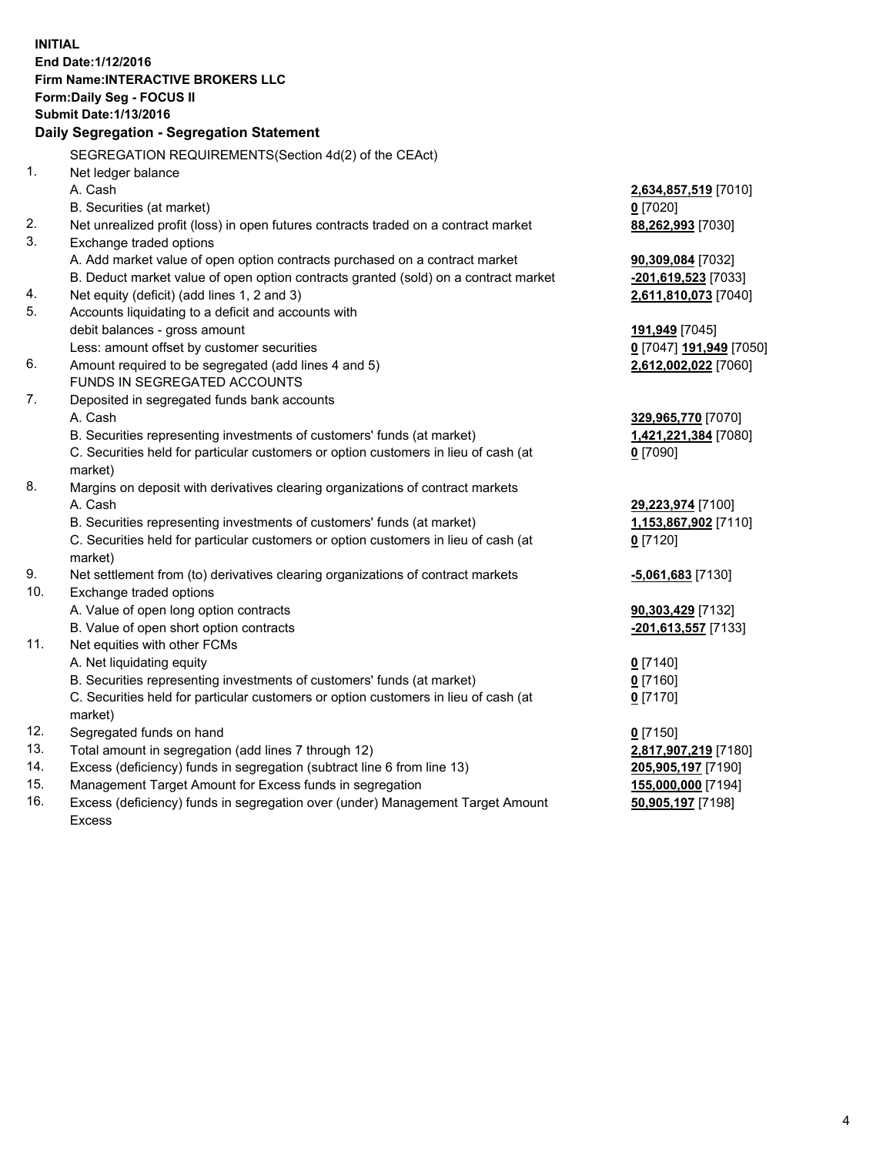**INITIAL End Date:1/12/2016 Firm Name:INTERACTIVE BROKERS LLC Form:Daily Seg - FOCUS II Submit Date:1/13/2016 Daily Segregation - Segregation Statement** SEGREGATION REQUIREMENTS(Section 4d(2) of the CEAct) 1. Net ledger balance A. Cash **2,634,857,519** [7010] B. Securities (at market) **0** [7020] 2. Net unrealized profit (loss) in open futures contracts traded on a contract market **88,262,993** [7030] 3. Exchange traded options A. Add market value of open option contracts purchased on a contract market **90,309,084** [7032] B. Deduct market value of open option contracts granted (sold) on a contract market **-201,619,523** [7033] 4. Net equity (deficit) (add lines 1, 2 and 3) **2,611,810,073** [7040] 5. Accounts liquidating to a deficit and accounts with debit balances - gross amount **191,949** [7045] Less: amount offset by customer securities **0** [7047] **191,949** [7050] 6. Amount required to be segregated (add lines 4 and 5) **2,612,002,022** [7060] FUNDS IN SEGREGATED ACCOUNTS 7. Deposited in segregated funds bank accounts A. Cash **329,965,770** [7070] B. Securities representing investments of customers' funds (at market) **1,421,221,384** [7080] C. Securities held for particular customers or option customers in lieu of cash (at market) **0** [7090] 8. Margins on deposit with derivatives clearing organizations of contract markets A. Cash **29,223,974** [7100] B. Securities representing investments of customers' funds (at market) **1,153,867,902** [7110] C. Securities held for particular customers or option customers in lieu of cash (at market) **0** [7120] 9. Net settlement from (to) derivatives clearing organizations of contract markets **-5,061,683** [7130] 10. Exchange traded options A. Value of open long option contracts **90,303,429** [7132] B. Value of open short option contracts **-201,613,557** [7133] 11. Net equities with other FCMs A. Net liquidating equity **0** [7140] B. Securities representing investments of customers' funds (at market) **0** [7160] C. Securities held for particular customers or option customers in lieu of cash (at market) **0** [7170] 12. Segregated funds on hand **0** [7150] 13. Total amount in segregation (add lines 7 through 12) **2,817,907,219** [7180] 14. Excess (deficiency) funds in segregation (subtract line 6 from line 13) **205,905,197** [7190] 15. Management Target Amount for Excess funds in segregation **155,000,000** [7194] **50,905,197** [7198]

16. Excess (deficiency) funds in segregation over (under) Management Target Amount Excess